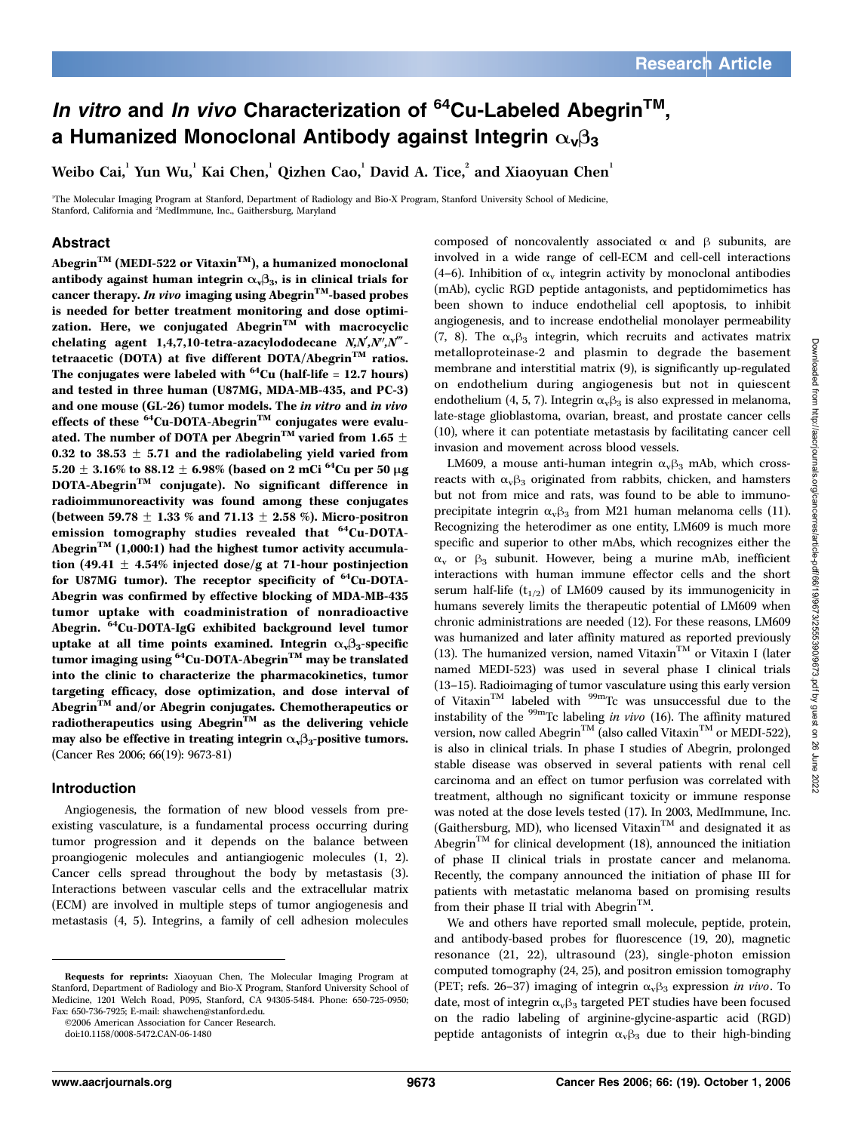# In vitro and In vivo Characterization of  $64$ Cu-Labeled Abegrin<sup>TM</sup>, a Humanized Monoclonal Antibody against Integrin  $\alpha_{\nu}\beta_3$

Weibo Cai, 1 Yun Wu, Kai Chen, Oizhen Cao, David A. Tice, and Xiaoyuan Chen

1 The Molecular Imaging Program at Stanford, Department of Radiology and Bio-X Program, Stanford University School of Medicine, Stanford, California and <sup>2</sup>MedImmune, Inc., Gaithersburg, Maryland

# Abstract

Abegrin<sup>TM</sup> (MEDI-522 or Vitaxin<sup>TM</sup>), a humanized monoclonal antibody against human integrin  $\alpha_{\nu}\beta_3$ , is in clinical trials for cancer therapy. In vivo imaging using Abegrin<sup>TM</sup>-based probes is needed for better treatment monitoring and dose optimization. Here, we conjugated Abegrin<sup>TM</sup> with macrocyclic chelating agent  $1,4,7,10$ -tetra-azacylododecane  $N, N', N'', N''$ tetraacetic (DOTA) at five different DOTA/Abegrin<sup>TM</sup> ratios. The conjugates were labeled with  $^{64}$ Cu (half-life = 12.7 hours) and tested in three human (U87MG, MDA-MB-435, and PC-3) and one mouse (GL-26) tumor models. The in vitro and in vivo effects of these  ${}^{64}$ Cu-DOTA-Abegrin<sup>TM</sup> conjugates were evaluated. The number of DOTA per Abegrin $^{\text{TM}}$  varied from 1.65  $\pm$ 0.32 to 38.53  $\pm$  5.71 and the radiolabeling yield varied from 5.20  $\pm$  3.16% to 88.12  $\pm$  6.98% (based on 2 mCi<sup>64</sup>Cu per 50 µg DOTA-AbegrinTM conjugate). No significant difference in radioimmunoreactivity was found among these conjugates (between 59.78  $+$  1.33 % and 71.13  $+$  2.58 %). Micro-positron emission tomography studies revealed that  ${}^{64}$ Cu-DOTA-Abegrin<sup>TM</sup> (1,000:1) had the highest tumor activity accumulation (49.41  $\pm$  4.54% injected dose/g at 71-hour postinjection for U87MG tumor). The receptor specificity of  ${}^{64}$ Cu-DOTA-Abegrin was confirmed by effective blocking of MDA-MB-435 tumor uptake with coadministration of nonradioactive Abegrin. 64Cu-DOTA-IgG exhibited background level tumor uptake at all time points examined. Integrin  $\alpha_{\nu}\beta_3$ -specific tumor imaging using  ${}^{64}$ Cu-DOTA-Abegrin<sup>TM</sup> may be translated into the clinic to characterize the pharmacokinetics, tumor targeting efficacy, dose optimization, and dose interval of Abegrin<sup>TM</sup> and/or Abegrin conjugates. Chemotherapeutics or radiotherapeutics using Abegrin<sup>TM</sup> as the delivering vehicle may also be effective in treating integrin  $\alpha_{\nu}\beta_3$ -positive tumors. (Cancer Res 2006; 66(19): 9673-81)

## Introduction

Angiogenesis, the formation of new blood vessels from preexisting vasculature, is a fundamental process occurring during tumor progression and it depends on the balance between proangiogenic molecules and antiangiogenic molecules (1, 2). Cancer cells spread throughout the body by metastasis (3). Interactions between vascular cells and the extracellular matrix (ECM) are involved in multiple steps of tumor angiogenesis and metastasis (4, 5). Integrins, a family of cell adhesion molecules

©2006 American Association for Cancer Research.

composed of noncovalently associated  $\alpha$  and  $\beta$  subunits, are involved in a wide range of cell-ECM and cell-cell interactions (4–6). Inhibition of  $\alpha_v$  integrin activity by monoclonal antibodies (mAb), cyclic RGD peptide antagonists, and peptidomimetics has been shown to induce endothelial cell apoptosis, to inhibit angiogenesis, and to increase endothelial monolayer permeability (7, 8). The  $\alpha_v\beta_3$  integrin, which recruits and activates matrix metalloproteinase-2 and plasmin to degrade the basement membrane and interstitial matrix (9), is significantly up-regulated on endothelium during angiogenesis but not in quiescent endothelium (4, 5, 7). Integrin  $\alpha_{\rm v} \beta_3$  is also expressed in melanoma, late-stage glioblastoma, ovarian, breast, and prostate cancer cells (10), where it can potentiate metastasis by facilitating cancer cell invasion and movement across blood vessels.

LM609, a mouse anti-human integrin  $\alpha_{\rm v} \beta_3$  mAb, which crossreacts with  $\alpha_{\rm v} \beta_3$  originated from rabbits, chicken, and hamsters but not from mice and rats, was found to be able to immunoprecipitate integrin  $\alpha_{\rm v} \beta_3$  from M21 human melanoma cells (11). Recognizing the heterodimer as one entity, LM609 is much more specific and superior to other mAbs, which recognizes either the  $\alpha_v$  or  $\beta_3$  subunit. However, being a murine mAb, inefficient interactions with human immune effector cells and the short serum half-life  $(t_{1/2})$  of LM609 caused by its immunogenicity in humans severely limits the therapeutic potential of LM609 when chronic administrations are needed (12). For these reasons, LM609 was humanized and later affinity matured as reported previously (13). The humanized version, named Vitaxin<sup>TM</sup> or Vitaxin I (later named MEDI-523) was used in several phase I clinical trials (13–15). Radioimaging of tumor vasculature using this early version of VitaxinTM labeled with 99mTc was unsuccessful due to the instability of the  $\frac{99 \text{m}}{2}$ Tc labeling *in vivo* (16). The affinity matured version, now called Abegrin<sup>TM</sup> (also called Vitaxin<sup>TM</sup> or MEDI-522), is also in clinical trials. In phase I studies of Abegrin, prolonged stable disease was observed in several patients with renal cell carcinoma and an effect on tumor perfusion was correlated with treatment, although no significant toxicity or immune response was noted at the dose levels tested (17). In 2003, MedImmune, Inc. (Gaithersburg, MD), who licensed Vitaxin<sup>TM</sup> and designated it as Abegrin<sup>TM</sup> for clinical development (18), announced the initiation of phase II clinical trials in prostate cancer and melanoma. Recently, the company announced the initiation of phase III for patients with metastatic melanoma based on promising results from their phase II trial with Abegrin<sup>TM</sup>.

We and others have reported small molecule, peptide, protein, and antibody-based probes for fluorescence (19, 20), magnetic resonance (21, 22), ultrasound (23), single-photon emission computed tomography (24, 25), and positron emission tomography (PET; refs. 26-37) imaging of integrin  $\alpha_{\rm v} \beta_3$  expression in vivo. To date, most of integrin  $\alpha_{v}\beta_{3}$  targeted PET studies have been focused on the radio labeling of arginine-glycine-aspartic acid (RGD) peptide antagonists of integrin  $\alpha_{\nu}\beta_3$  due to their high-binding

Requests for reprints: Xiaoyuan Chen, The Molecular Imaging Program at Stanford, Department of Radiology and Bio-X Program, Stanford University School of Medicine, 1201 Welch Road, P095, Stanford, CA 94305-5484. Phone: 650-725-0950; Fax: 650-736-7925; E-mail: shawchen@stanford.edu.

doi:10.1158/0008-5472.CAN-06-1480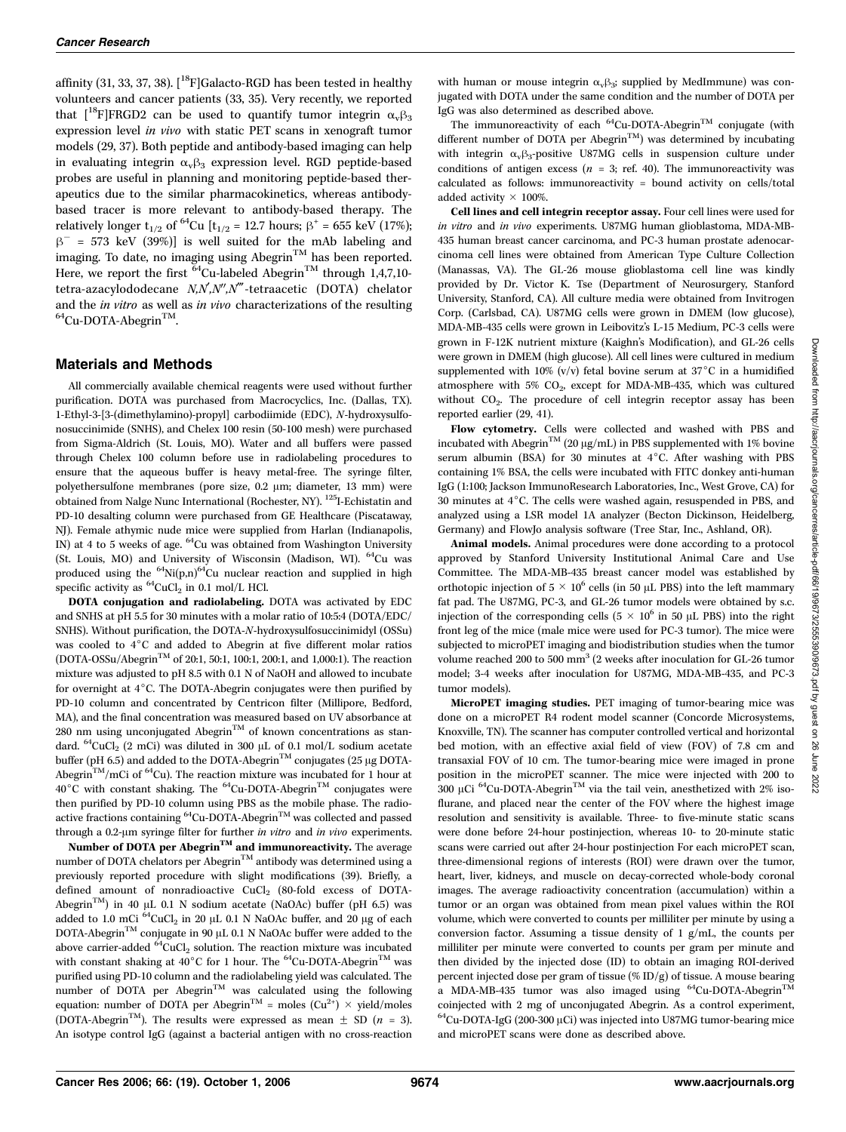affinity (31, 33, 37, 38).  $[$ <sup>18</sup>F [Galacto-RGD has been tested in healthy volunteers and cancer patients (33, 35). Very recently, we reported that  $[$ <sup>18</sup>F]FRGD2 can be used to quantify tumor integrin  $\alpha_{\rm v} \beta_3$ expression level in vivo with static PET scans in xenograft tumor models(29, 37). Both peptide and antibody-based imaging can help in evaluating integrin  $\alpha_{v} \beta_3$  expression level. RGD peptide-based probes are useful in planning and monitoring peptide-based therapeutics due to the similar pharmacokinetics, whereas antibodybased tracer is more relevant to antibody-based therapy. The relatively longer t<sub>1/2</sub> of <sup>64</sup>Cu [t<sub>1/2</sub> = 12.7 hours;  $\beta^+$  = 655 keV (17%);  $\beta$ <sup>-</sup> = 573 keV (39%)] is well suited for the mAb labeling and imaging. To date, no imaging using Abegrin<sup>TM</sup> has been reported. Here, we report the first  $^{64}$ Cu-labeled Abegrin<sup>TM</sup> through 1,4,7,10tetra-azacylododecane N,N,N",N"'-tetraacetic (DOTA) chelator and the *in vitro* as well as *in vivo* characterizations of the resulting  $^{64}$ Cu-DOTA-Abegrin<sup>TM</sup>.

## Materials and Methods

All commercially available chemical reagents were used without further purification. DOTA was purchased from Macrocyclics, Inc. (Dallas, TX). 1-Ethyl-3-[3-(dimethylamino)-propyl] carbodiimide (EDC), N-hydroxysulfonosuccinimide (SNHS), and Chelex 100 resin (50-100 mesh) were purchased from Sigma-Aldrich (St. Louis, MO). Water and all buffers were passed through Chelex 100 column before use in radiolabeling procedures to ensure that the aqueous buffer is heavy metal-free. The syringe filter, polyethersulfone membranes (pore size, 0.2 µm; diameter, 13 mm) were obtained from Nalge Nunc International (Rochester, NY). 125I-Echistatin and PD-10 desalting column were purchased from GE Healthcare (Piscataway, NJ). Female athymic nude mice were supplied from Harlan (Indianapolis, IN) at 4 to 5 weeks of age.  ${}^{64}$ Cu was obtained from Washington University (St. Louis, MO) and University of Wisconsin (Madison, WI). <sup>64</sup>Cu was produced using the  ${}^{64}$ Ni(p,n) ${}^{64}$ Cu nuclear reaction and supplied in high specific activity as  ${}^{64}$ CuCl<sub>2</sub> in 0.1 mol/L HCl.

DOTA conjugation and radiolabeling. DOTA was activated by EDC and SNHS at pH 5.5 for 30 minuteswith a molar ratio of 10:5:4 (DOTA/EDC/ SNHS). Without purification, the DOTA-N-hydroxysulfosuccinimidyl (OSSu) was cooled to 4°C and added to Abegrin at five different molar ratios (DOTA-OSSu/AbegrinTM of 20:1, 50:1, 100:1, 200:1, and 1,000:1). The reaction mixture wasadjusted to pH 8.5 with 0.1 N of NaOH and allowed to incubate for overnight at  $4^{\circ}$ C. The DOTA-Abegrin conjugates were then purified by PD-10 column and concentrated by Centricon filter (Millipore, Bedford, MA), and the final concentration was measured based on UV absorbance at 280 nm using unconjugated Abegrin<sup>TM</sup> of known concentrations as standard.  $^{64}$ CuCl<sub>2</sub> (2 mCi) was diluted in 300 µL of 0.1 mol/L sodium acetate buffer (pH 6.5) and added to the DOTA-Abegrin<sup>TM</sup> conjugates (25  $\mu$ g DOTA-Abegrin<sup>TM</sup>/mCi of <sup>64</sup>Cu). The reaction mixture was incubated for 1 hour at  $40^{\circ}$ C with constant shaking. The <sup>64</sup>Cu-DOTA-Abegrin<sup>TM</sup> conjugates were then purified by PD-10 column using PBS as the mobile phase. The radioactive fractions containing  ${}^{64}$ Cu-DOTA-Abegrin<sup>TM</sup> was collected and passed through a 0.2- $\mu$ m syringe filter for further in vitro and in vivo experiments.

Number of DOTA per Abegrin<sup>TM</sup> and immunoreactivity. The average number of DOTA chelators per Abegrin $^{\text{\tiny{\textsf{TM}}}}$  antibody was determined using a previously reported procedure with slight modifications (39). Briefly, a defined amount of nonradioactive  $CuCl<sub>2</sub>$  (80-fold excess of DOTA-Abegrin<sup>TM</sup>) in 40 µL 0.1 N sodium acetate (NaOAc) buffer (pH 6.5) was added to 1.0 mCi  $^{64}$ CuCl<sub>2</sub> in 20 µL 0.1 N NaOAc buffer, and 20 µg of each  $\mathrm{DOTA}\text{-}\mathrm{Abegrin}^\mathrm{TM}$  conjugate in 90  $\upmu\mathrm{L}$  0.1 N NaOAc buffer were added to the above carrier-added  ${}^{64}$ CuCl<sub>2</sub> solution. The reaction mixture was incubated with constant shaking at 40°C for 1 hour. The  $^{64}$ Cu-DOTA-Abegrin<sup>TM</sup> was purified using PD-10 column and the radiolabeling yield was calculated. The number of DOTA per Abegrin<sup>TM</sup> was calculated using the following equation: number of DOTA per Abegrin<sup>TM</sup> = moles ( $Cu^{2+}$ )  $\times$  yield/moles (DOTA-Abegrin<sup>TM</sup>). The results were expressed as mean  $\pm$  SD (n = 3). An isotype control IgG (against a bacterial antigen with no cross-reaction

with human or mouse integrin  $\alpha_{\rm v}\beta_3$ ; supplied by MedImmune) was conjugated with DOTA under the same condition and the number of DOTA per IgG was also determined as described above.

The immunoreactivity of each  ${}^{64}$ Cu-DOTA-Abegrin<sup>TM</sup> conjugate (with different number of DOTA per Abegrin<sup>TM</sup>) was determined by incubating with integrin  $\alpha_{\rm v} \beta_3$ -positive U87MG cells in suspension culture under conditions of antigen excess ( $n = 3$ ; ref. 40). The immunoreactivity was calculated as follows: immunoreactivity = bound activity on cells/total added activity  $\times$  100%.

Cell lines and cell integrin receptor assay. Four cell lines were used for in vitro and in vivo experiments. U87MG human glioblastoma, MDA-MB-435 human breast cancer carcinoma, and PC-3 human prostate adenocarcinoma cell lines were obtained from American Type Culture Collection (Manassas, VA). The GL-26 mouse glioblastoma cell line was kindly provided by Dr. Victor K. Tse (Department of Neurosurgery, Stanford University, Stanford, CA). All culture media were obtained from Invitrogen Corp. (Carlsbad, CA). U87MG cells were grown in DMEM (low glucose), MDA-MB-435 cells were grown in Leibovitz's L-15 Medium, PC-3 cells were grown in F-12K nutrient mixture (Kaighn's Modification), and GL-26 cells were grown in DMEM (high glucose). All cell lines were cultured in medium supplemented with 10% (v/v) fetal bovine serum at 37°C in a humidified atmosphere with 5%  $CO<sub>2</sub>$ , except for MDA-MB-435, which was cultured without  $CO<sub>2</sub>$ . The procedure of cell integrin receptor assay has been reported earlier (29, 41).

Flow cytometry. Cells were collected and washed with PBS and incubated with Abegrin<sup>TM</sup> (20  $\mu$ g/mL) in PBS supplemented with 1% bovine serum albumin (BSA) for 30 minutes at  $4^{\circ}$ C. After washing with PBS containing 1% BSA, the cellswere incubated with FITC donkey anti-human IgG (1:100; Jackson ImmunoResearch Laboratories, Inc., West Grove, CA) for 30 minutes at  $4^{\circ}$ C. The cells were washed again, resuspended in PBS, and analyzed using a LSR model 1A analyzer (Becton Dickinson, Heidelberg, Germany) and FlowJo analysis software (Tree Star, Inc., Ashland, OR).

Animal models. Animal procedures were done according to a protocol approved by Stanford University Institutional Animal Care and Use Committee. The MDA-MB-435 breast cancer model was established by orthotopic injection of  $5 \times 10^6$  cells (in 50 µL PBS) into the left mammary fat pad. The U87MG, PC-3, and GL-26 tumor modelswere obtained by s.c. injection of the corresponding cells (5  $\times$  10<sup>6</sup> in 50  $\mu$ L PBS) into the right front leg of the mice (male mice were used for PC-3 tumor). The mice were subjected to microPET imaging and biodistribution studies when the tumor volume reached 200 to 500 mm<sup>3</sup> (2 weeks after inoculation for GL-26 tumor model; 3-4 weeks after inoculation for U87MG, MDA-MB-435, and PC-3 tumor models).

MicroPET imaging studies. PET imaging of tumor-bearing mice was done on a microPET R4 rodent model scanner (Concorde Microsystems, Knoxville, TN). The scanner has computer controlled vertical and horizontal bed motion, with an effective axial field of view (FOV) of 7.8 cm and transaxial FOV of 10 cm. The tumor-bearing mice were imaged in prone position in the microPET scanner. The mice were injected with 200 to 300 µCi  ${}^{64}$ Cu-DOTA-Abegrin<sup>TM</sup> via the tail vein, anesthetized with 2% isoflurane, and placed near the center of the FOV where the highest image resolution and sensitivity is available. Three- to five-minute static scans were done before 24-hour postinjection, whereas 10- to 20-minute static scans were carried out after 24-hour postinjection For each microPET scan, three-dimensional regions of interests (ROI) were drawn over the tumor, heart, liver, kidneys, and muscle on decay-corrected whole-body coronal images. The average radioactivity concentration (accumulation) within a tumor or an organ was obtained from mean pixel values within the ROI volume, which were converted to counts per milliliter per minute by using a conversion factor. Assuming a tissue density of 1 g/mL, the counts per milliliter per minute were converted to counts per gram per minute and then divided by the injected dose (ID) to obtain an imaging ROI-derived percent injected dose per gram of tissue (% ID/g) of tissue. A mouse bearing a MDA-MB-435 tumor was also imaged using  $^{64}$ Cu-DOTA-Abegrin<sup>TM</sup> coinjected with 2 mg of unconjugated Abegrin. As a control experiment,  $^{64}$ Cu-DOTA-IgG (200-300 µCi) was injected into U87MG tumor-bearing mice and microPET scans were done as described above.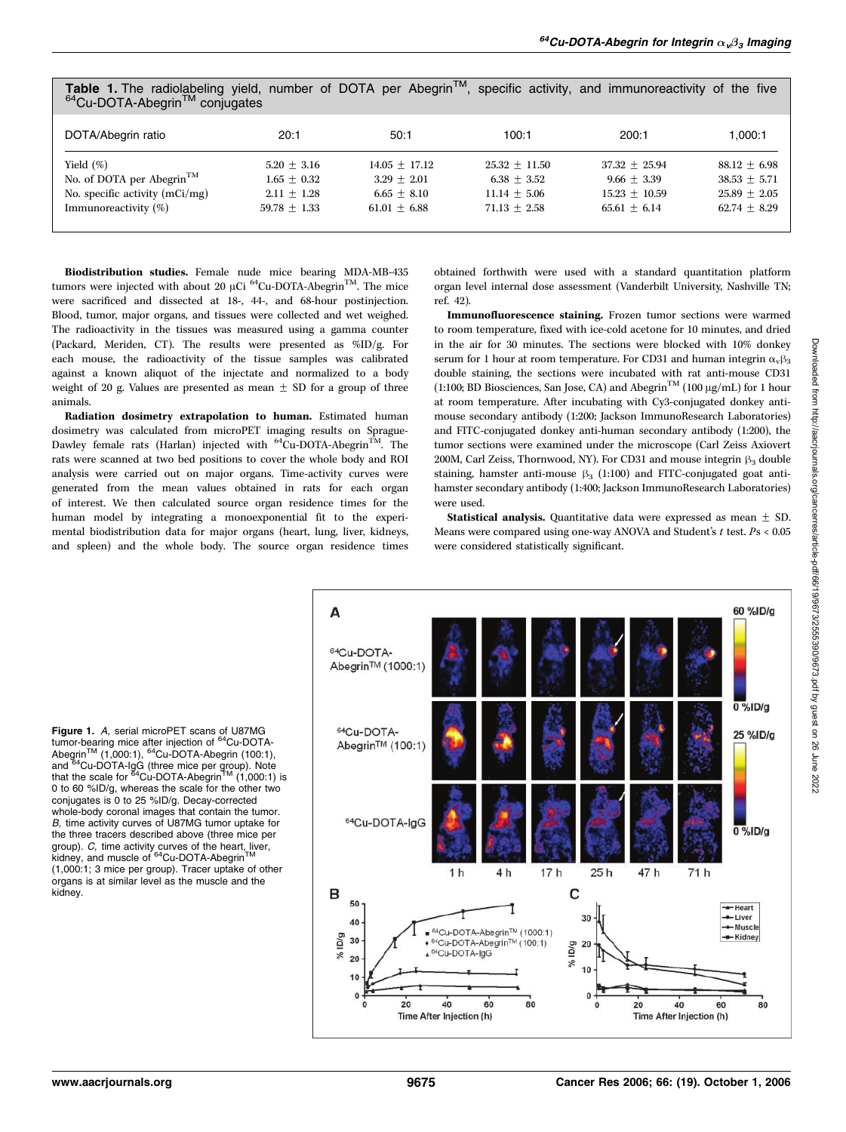| 0.40<br><b>OUTTUGATOO</b>                                                                                         |                                                                     |                                                                     |                                                                      |                                                                       |                                                                      |
|-------------------------------------------------------------------------------------------------------------------|---------------------------------------------------------------------|---------------------------------------------------------------------|----------------------------------------------------------------------|-----------------------------------------------------------------------|----------------------------------------------------------------------|
| DOTA/Abegrin ratio                                                                                                | 20:1                                                                | 50:1                                                                | 100:1                                                                | 200:1                                                                 | 1.000:1                                                              |
| Yield $(\%)$<br>No. of DOTA per Abegrin <sup>TM</sup><br>No. specific activity $(mCi/mg)$<br>Immunoreactivity (%) | $5.20 + 3.16$<br>$1.65 + 0.32$<br>$2.11 \pm 1.28$<br>$59.78 + 1.33$ | $14.05 + 17.12$<br>$3.29 + 2.01$<br>$6.65 + 8.10$<br>$61.01 + 6.88$ | $25.32 + 11.50$<br>$6.38 + 3.52$<br>$11.14 + 5.06$<br>$71.13 + 2.58$ | $37.32 + 25.94$<br>$9.66 + 3.39$<br>$15.23 + 10.59$<br>$65.61 + 6.14$ | $88.12 + 6.98$<br>$38.53 + 5.71$<br>$25.89 + 2.05$<br>$62.74 + 8.29$ |

**Table 1.** The radiolabeling yield, number of DOTA per Abegrin<sup>TM</sup>, specific activity, and immunoreactivity of the five  $64$ Cu-DOTA-Abegrin<sup>TM</sup> conjugates

Biodistribution studies. Female nude mice bearing MDA-MB-435 tumors were injected with about 20  $\mu$ Ci <sup>64</sup>Cu-DOTA-Abegrin<sup>TM</sup>. The mice were sacrificed and dissected at 18-, 44-, and 68-hour postinjection. Blood, tumor, major organs, and tissues were collected and wet weighed. The radioactivity in the tissues was measured using a gamma counter (Packard, Meriden, CT). The results were presented as %ID/g. For each mouse, the radioactivity of the tissue samples was calibrated against a known aliquot of the injectate and normalized to a body weight of 20 g. Values are presented as mean  $\pm$  SD for a group of three animals.

Radiation dosimetry extrapolation to human. Estimated human dosimetry was calculated from microPET imaging results on Sprague-Dawley female rats (Harlan) injected with  ${}^{64}$ Cu-DOTA-Abegrin<sup>TM</sup>. The rats were scanned at two bed positions to cover the whole body and ROI analysis were carried out on major organs. Time-activity curves were generated from the mean values obtained in rats for each organ of interest. We then calculated source organ residence times for the human model by integrating a monoexponential fit to the experimental biodistribution data for major organs (heart, lung, liver, kidneys, and spleen) and the whole body. The source organ residence times

obtained forthwith were used with a standard quantitation platform organ level internal dose assessment (Vanderbilt University, Nashville TN; ref. 42).

Immunofluorescence staining. Frozen tumor sections were warmed to room temperature, fixed with ice-cold acetone for 10 minutes, and dried in the air for 30 minutes. The sections were blocked with 10% donkey serum for 1 hour at room temperature. For CD31 and human integrin  $\alpha_{\nu}\beta_3$ double staining, the sections were incubated with rat anti-mouse CD31 (1:100; BD Biosciences, San Jose, CA) and Abegrin<sup>TM</sup> (100  $\mu$ g/mL) for 1 hour at room temperature. After incubating with Cy3-conjugated donkey antimouse secondary antibody (1:200; Jackson ImmunoResearch Laboratories) and FITC-conjugated donkey anti-human secondary antibody (1:200), the tumor sections were examined under the microscope (Carl Zeiss Axiovert 200M, Carl Zeiss, Thornwood, NY). For CD31 and mouse integrin  $\beta_3$  double staining, hamster anti-mouse  $\beta_3$  (1:100) and FITC-conjugated goat antihamster secondary antibody (1:400; Jackson ImmunoResearch Laboratories) were used.

**Statistical analysis.** Quantitative data were expressed as mean  $\pm$  SD. Means were compared using one-way ANOVA and Student's  $t$  test.  $Ps < 0.05$ were considered statistically significant.

**Figure 1.** A, serial microPET scans of U87MG<br>tumor-bearing mice after injection of <sup>64</sup>Cu-DOTA-Abegrin<sup>™</sup> (1,000:1), <sup>64</sup>Cu-DOTA-Abegrin (100:1), and <sup>64</sup>Cu-DOTA-IgG (three mice per group). Note<br>that the scale for <sup>64</sup>Cu-DOTA-Abegrin<sup>TM</sup> (1,000:1) is 0 to 60 %ID/g, whereas the scale for the other two conjugates is 0 to 25 %ID/g. Decay-corrected whole-body coronal images that contain the tumor.<br>B. time activity curves of U87MG tumor uptake for B, time activity curves of U87MG tumor uptake for the three tracers described above (three mice per group). *C*, time activity curves of the heart, liver,<br>kidney, and muscle of <sup>64</sup>Cu-DOTA-Abegrin™ (1,000:1; 3 mice per group). Tracer uptake of other organs is at similar level as the muscle and the kidney.

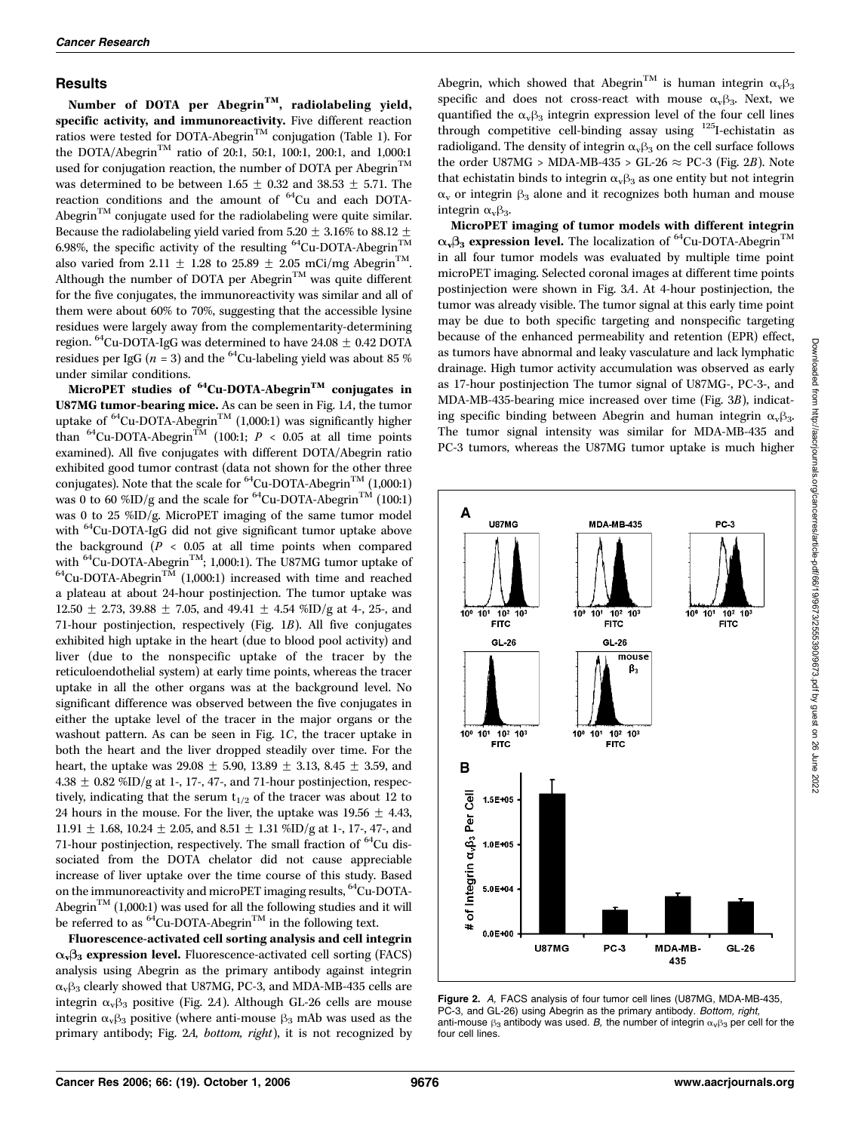#### **Results**

Number of DOTA per Abegrin<sup>TM</sup>, radiolabeling yield, specific activity, and immunoreactivity. Five different reaction ratios were tested for DOTA-Abegrin<sup>TM</sup> conjugation (Table 1). For the DOTA/Abegrin<sup>TM</sup> ratio of 20:1, 50:1, 100:1, 200:1, and 1,000:1 used for conjugation reaction, the number of DOTA per Abegrin<sup>TM</sup> was determined to be between 1.65  $\pm$  0.32 and 38.53  $\pm$  5.71. The reaction conditions and the amount of  ${}^{64}Cu$  and each DOTA-Abegrin<sup>TM</sup> conjugate used for the radiolabeling were quite similar. Because the radiolabeling yield varied from 5.20  $\pm$  3.16% to 88.12  $\pm$ 6.98%, the specific activity of the resulting  $^{64}$ Cu-DOTA-Abegrin<sup>TM</sup> also varied from 2.11  $\pm$  1.28 to 25.89  $\pm$  2.05 mCi/mg Abegrin<sup>TM</sup>. Although the number of DOTA per Abegrin<sup>TM</sup> was quite different for the five conjugates, the immunoreactivity was similar and all of them were about 60% to 70%, suggesting that the accessible lysine residues were largely away from the complementarity-determining region. <sup>64</sup>Cu-DOTA-IgG was determined to have  $24.08 \pm 0.42$  DOTA residues per IgG ( $n = 3$ ) and the <sup>64</sup>Cu-labeling yield was about 85 % under similar conditions.

MicroPET studies of  ${}^{64}$ Cu-DOTA-Abegrin<sup>TM</sup> conjugates in U87MG tumor-bearing mice. As can be seen in Fig. 1A, the tumor uptake of  ${}^{64}$ Cu-DOTA-Abegrin<sup>TM</sup> (1,000:1) was significantly higher than <sup>64</sup>Cu-DOTA-Abegrin<sup>TM</sup> (100:1;  $P < 0.05$  at all time points examined). All five conjugates with different DOTA/Abegrin ratio exhibited good tumor contrast (data not shown for the other three conjugates). Note that the scale for  ${}^{64}$ Cu-DOTA-Abegrin<sup>TM</sup> (1,000:1) was 0 to 60 %ID/g and the scale for  ${}^{64}$ Cu-DOTA-Abegrin<sup>TM</sup> (100:1) was 0 to 25 %ID/g. MicroPET imaging of the same tumor model with <sup>64</sup>Cu-DOTA-IgG did not give significant tumor uptake above the background ( $P < 0.05$  at all time points when compared with <sup>64</sup>Cu-DOTA-Abegrin<sup>TM</sup>; 1,000:1). The U87MG tumor uptake of  $^{64}$ Cu-DOTA-Abegrin<sup>TM</sup> (1,000:1) increased with time and reached a plateau at about 24-hour postinjection. The tumor uptake was 12.50  $\pm$  2.73, 39.88  $\pm$  7.05, and 49.41  $\pm$  4.54 %ID/g at 4-, 25-, and 71-hour postinjection, respectively (Fig. 1B). All five conjugates exhibited high uptake in the heart (due to blood pool activity) and liver (due to the nonspecific uptake of the tracer by the reticuloendothelial system) at early time points, whereas the tracer uptake in all the other organs was at the background level. No significant difference was observed between the five conjugates in either the uptake level of the tracer in the major organs or the washout pattern. As can be seen in Fig. 1C, the tracer uptake in both the heart and the liver dropped steadily over time. For the heart, the uptake was 29.08  $\pm$  5.90, 13.89  $\pm$  3.13, 8.45  $\pm$  3.59, and  $4.38 \pm 0.82$  %ID/g at 1-, 17-, 47-, and 71-hour postinjection, respectively, indicating that the serum  $t_{1/2}$  of the tracer was about 12 to 24 hours in the mouse. For the liver, the uptake was 19.56  $\pm$  4.43, 11.91  $\pm$  1.68, 10.24  $\pm$  2.05, and 8.51  $\pm$  1.31 %ID/g at 1-, 17-, 47-, and 71-hour postinjection, respectively. The small fraction of  ${}^{64}$ Cu dissociated from the DOTA chelator did not cause appreciable increase of liver uptake over the time course of this study. Based on the immunoreactivity and microPET imaging results, <sup>64</sup>Cu-DOTA-Abegrin<sup>TM</sup> (1,000:1) was used for all the following studies and it will be referred to as  ${}^{64}$ Cu-DOTA-Abegrin<sup>TM</sup> in the following text.

Fluorescence-activated cell sorting analysis and cell integrin  $\alpha_{\nu} \beta_3$  expression level. Fluorescence-activated cell sorting (FACS) analysis using Abegrin as the primary antibody against integrin  $\alpha_{\rm v}\beta_3$  clearly showed that U87MG, PC-3, and MDA-MB-435 cells are integrin  $\alpha_{\rm v} \beta_3$  positive (Fig. 2A). Although GL-26 cells are mouse integrin  $\alpha_{\rm v} \beta_3$  positive (where anti-mouse  $\beta_3$  mAb was used as the primary antibody; Fig. 2A, bottom, right), it is not recognized by

Abegrin, which showed that Abegrin<sup>TM</sup> is human integrin  $\alpha_{\nu}\beta_3$ specific and does not cross-react with mouse  $\alpha_{v}\beta_{3}$ . Next, we quantified the  $\alpha_{\rm v}\beta_3$  integrin expression level of the four cell lines through competitive cell-binding assay using <sup>125</sup>I-echistatin as radioligand. The density of integrin  $\alpha_{\nu}\beta_3$  on the cell surface follows the order U87MG > MDA-MB-435 > GL-26  $\approx$  PC-3 (Fig. 2B). Note that echistatin binds to integrin  $\alpha_{\rm v}\beta_3$  as one entity but not integrin  $\alpha$ <sub>v</sub> or integrin  $\beta$ <sub>3</sub> alone and it recognizes both human and mouse integrin  $\alpha_{v}\beta_{3}$ .

MicroPET imaging of tumor modelswith different integrin  $\alpha_{\rm v}$  $\beta_3$  expression level. The localization of <sup>64</sup>Cu-DOTA-Abegrin<sup>TM</sup> in all four tumor modelswasevaluated by multiple time point microPET imaging. Selected coronal images at different time points postinjection were shown in Fig. 3A. At 4-hour postinjection, the tumor was already visible. The tumor signal at this early time point may be due to both specific targeting and nonspecific targeting because of the enhanced permeability and retention (EPR) effect, as tumors have abnormal and leaky vasculature and lack lymphatic drainage. High tumor activity accumulation was observed as early as 17-hour postinjection The tumor signal of U87MG-, PC-3-, and MDA-MB-435-bearing mice increased over time (Fig. 3B), indicating specific binding between Abegrin and human integrin  $\alpha_{\rm v} \beta_3$ . The tumor signal intensity was similar for MDA-MB-435 and PC-3 tumors, whereas the U87MG tumor uptake is much higher



Figure 2. A, FACS analysis of four tumor cell lines (U87MG, MDA-MB-435, PC-3, and GL-26) using Abegrin as the primary antibody. Bottom, right, PC-3, and GL-26) using Abegrin as the primary antibody. *Bottom, right,*<br>anti-mouse ß<sub>3</sub> antibody was used. *B,* the number of integrin  $\alpha_{\rm v}$ ß per cell for the<br>four cell lines four cell lines.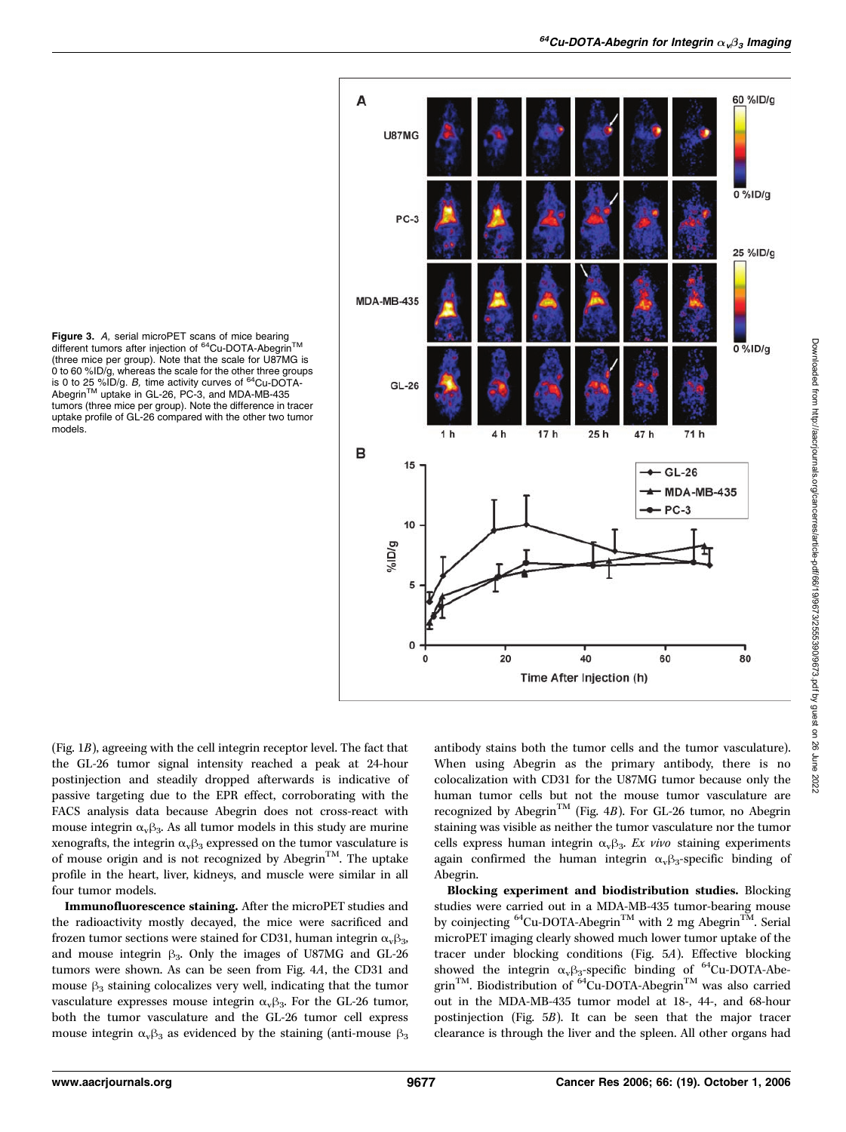



(Fig. 1B), agreeing with the cell integrin receptor level. The fact that the GL-26 tumor signal intensity reached a peak at 24-hour postinjection and steadily dropped afterwards is indicative of passive targeting due to the EPR effect, corroborating with the FACS analysis data because Abegrin does not cross-react with mouse integrin  $\alpha_{\rm v}\beta_3$ . As all tumor models in this study are murine xenografts, the integrin $\alpha_v\beta_3$  expressed on the tumor vasculature is of mouse origin and is not recognized by Abegrin<sup>TM</sup>. The uptake profile in the heart, liver, kidneys, and muscle were similar in all four tumor models.

Immunofluorescence staining. After the microPET studies and the radioactivity mostly decayed, the mice were sacrificed and frozen tumor sections were stained for CD31, human integrin  $\alpha_{\rm v} \beta_{3}$ , and mouse integrin  $\beta_3$ . Only the images of U87MG and GL-26 tumors were shown. As can be seen from Fig. 4A, the CD31 and mouse  $\beta_3$  staining colocalizes very well, indicating that the tumor vasculature expresses mouse integrin  $\alpha_{\rm v}\beta_3$ . For the GL-26 tumor, both the tumor vasculature and the GL-26 tumor cell express mouse integrin  $\alpha_{\nu}\beta_3$  as evidenced by the staining (anti-mouse  $\beta_3$  antibody stains both the tumor cells and the tumor vasculature). When using Abegrin as the primary antibody, there is no colocalization with CD31 for the U87MG tumor because only the human tumor cells but not the mouse tumor vasculature are recognized by Abegrin<sup>TM</sup> (Fig. 4B). For GL-26 tumor, no Abegrin staining was visible as neither the tumor vasculature nor the tumor cells express human integrin  $\alpha_{v}\beta_{3}$ . Ex vivo staining experiments again confirmed the human integrin  $\alpha_{\rm v} \beta_3$ -specific binding of Abegrin.

Blocking experiment and biodistribution studies. Blocking studies were carried out in a MDA-MB-435 tumor-bearing mouse by coinjecting  ${}^{64}$ Cu-DOTA-Abegrin<sup>TM</sup> with 2 mg Abegrin<sup>TM</sup>. Serial microPET imaging clearly showed much lower tumor uptake of the tracer under blocking conditions(Fig. 5A). Effective blocking showed the integrin  $\alpha_v \beta_3$ -specific binding of <sup>64</sup>Cu-DOTA-Abegrin<sup>TM</sup>. Biodistribution of <sup>64</sup>Cu-DOTA-Abegrin<sup>TM</sup> was also carried out in the MDA-MB-435 tumor model at 18-, 44-, and 68-hour postinjection (Fig. 5B). It can be seen that the major tracer clearance is through the liver and the spleen. All other organs had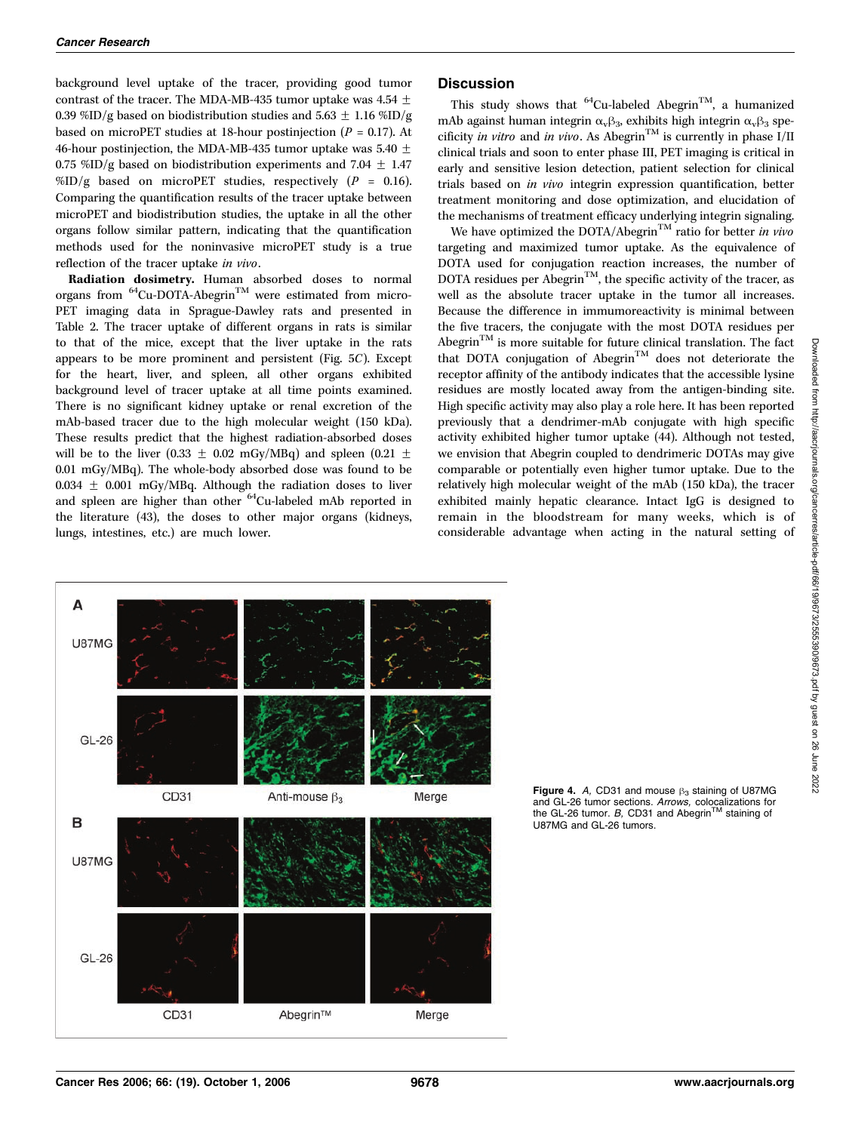background level uptake of the tracer, providing good tumor contrast of the tracer. The MDA-MB-435 tumor uptake was 4.54  $\pm$ 0.39 %ID/g based on biodistribution studies and 5.63  $\pm$  1.16 %ID/g based on microPET studies at 18-hour postinjection ( $P = 0.17$ ). At 46-hour postinjection, the MDA-MB-435 tumor uptake was 5.40  $\pm$ 0.75 %ID/g based on biodistribution experiments and 7.04  $\pm$  1.47 %ID/g based on microPET studies, respectively ( $P = 0.16$ ). Comparing the quantification results of the tracer uptake between microPET and biodistribution studies, the uptake in all the other organs follow similar pattern, indicating that the quantification methods used for the noninvasive microPET study is a true reflection of the tracer uptake in vivo.

Radiation dosimetry. Human absorbed doses to normal organs from  $^{64}$ Cu-DOTA-Abegrin<sup>TM</sup> were estimated from micro-PET imaging data in Sprague-Dawley rats and presented in Table 2. The tracer uptake of different organs in rats is similar to that of the mice, except that the liver uptake in the rats appears to be more prominent and persistent (Fig. 5C). Except for the heart, liver, and spleen, all other organs exhibited background level of tracer uptake at all time points examined. There is no significant kidney uptake or renal excretion of the mAb-based tracer due to the high molecular weight (150 kDa). These results predict that the highest radiation-absorbed doses will be to the liver (0.33  $\pm$  0.02 mGy/MBq) and spleen (0.21  $\pm$ 0.01 mGy/MBq). The whole-body absorbed dose was found to be 0.034  $\pm$  0.001 mGy/MBq. Although the radiation doses to liver and spleen are higher than other <sup>64</sup>Cu-labeled mAb reported in the literature (43), the doses to other major organs (kidneys, lungs, intestines, etc.) are much lower.

#### **Discussion**

This study shows that  ${}^{64}$ Cu-labeled Abegrin<sup>TM</sup>, a humanized mAb against human integrin  $\alpha_{\nu} \beta_3$ , exhibits high integrin  $\alpha_{\nu} \beta_3$  specificity in vitro and in vivo. As Abegrin<sup>TM</sup> is currently in phase I/II clinical trials and soon to enter phase III, PET imaging is critical in early and sensitive lesion detection, patient selection for clinical trials based on *in vivo* integrin expression quantification, better treatment monitoring and dose optimization, and elucidation of the mechanisms of treatment efficacy underlying integrin signaling.

We have optimized the DOTA/Abegrin<sup>TM</sup> ratio for better in vivo targeting and maximized tumor uptake. As the equivalence of DOTA used for conjugation reaction increases, the number of DOTA residues per Abegrin<sup>TM</sup>, the specific activity of the tracer, as well as the absolute tracer uptake in the tumor all increases. Because the difference in immumoreactivity is minimal between the five tracers, the conjugate with the most DOTA residues per Abegrin<sup>TM</sup> is more suitable for future clinical translation. The fact that DOTA conjugation of Abegrin<sup>TM</sup> does not deteriorate the receptor affinity of the antibody indicates that the accessible lysine residues are mostly located away from the antigen-binding site. High specific activity may also play a role here. It has been reported previously that a dendrimer-mAb conjugate with high specific activity exhibited higher tumor uptake (44). Although not tested, we envision that Abegrin coupled to dendrimeric DOTAs may give comparable or potentially even higher tumor uptake. Due to the relatively high molecular weight of the mAb (150 kDa), the tracer exhibited mainly hepatic clearance. Intact IgG is designed to remain in the bloodstream for many weeks, which is of considerable advantage when acting in the natural setting of



Figure 4. A, CD31 and mouse  $\beta_3$  staining of U87MG and GL-26 tumor sections. *Arrows,* colocalizations for<br>the GL-26 tumor. *B,* CD31 and Abegrin<sup>™</sup> staining of<br>U87MG and GL-26 tumors U87MG and GL-26 tumors.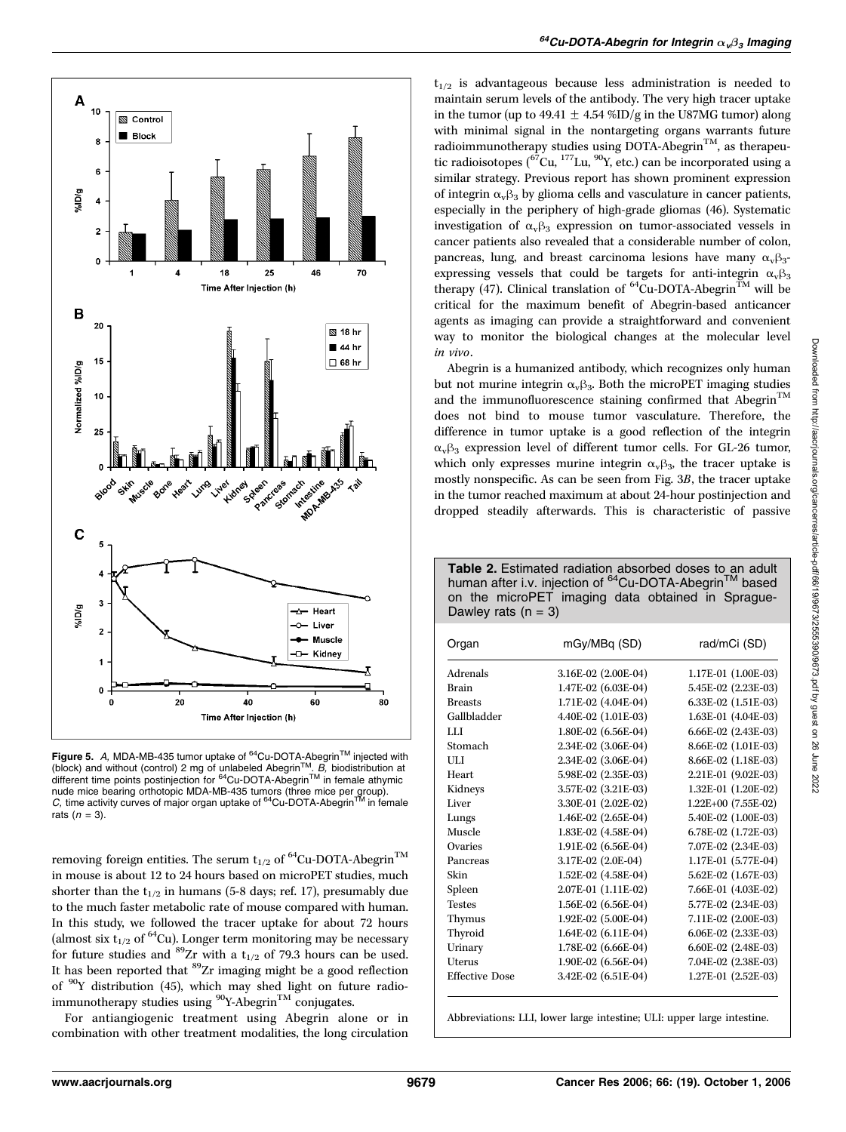

**Figure 5.** A, MDA-MB-435 tumor uptake of  $^{64}$ Cu-DOTA-Abegrin<sup>TM</sup> injected with (block) and without (control) 2 mg of unlabeled Abegrin<sup>TM</sup>. B, biodistribution at different time points postinjection for  $^{64}$ Cu-DOTA-Ab nude mice bearing orthotopic MDA-MB-435 tumors (three mice per group).<br>*C,* time activity curves of major organ uptake of <sup>64</sup>Cu-DOTA-Abegrin™ in female<br>rats (n = 3\ rats  $(n = 3)$ .

removing foreign entities. The serum  $\mathbf{t}_{1/2}$  of  $^{64}\mathrm{Cu}\textrm{-} \mathrm{DOTA}\textrm{-} \mathrm{Abegrin}^\textrm{TM}$ in mouse is about 12 to 24 hours based on microPET studies, much shorter than the  $t_{1/2}$  in humans (5-8 days; ref. 17), presumably due to the much faster metabolic rate of mouse compared with human. In thisstudy, we followed the tracer uptake for about 72 hours (almost six  $t_{1/2}$  of <sup>64</sup>Cu). Longer term monitoring may be necessary for future studies and <sup>89</sup>Zr with a t<sub>1/2</sub> of 79.3 hours can be used. It has been reported that  ${}^{89}\mathrm{Zr}$  imaging might be a good reflection of 90Y distribution (45), which may shed light on future radioimmunotherapy studies using  $\rm{^{90}Y\text{-}Abegrin}^{\rm{TM}}$  conjugates.

For antiangiogenic treatment using Abegrin alone or in combination with other treatment modalities, the long circulation  $t_{1/2}$  is advantageous because less administration is needed to maintain serum levels of the antibody. The very high tracer uptake in the tumor (up to 49.41  $\pm$  4.54 %ID/g in the U87MG tumor) along with minimal signal in the nontargeting organs warrants future radioimmunotherapy studies using DOTA-Abegrin<sup>TM</sup>, as therapeutic radioisotopes  $\binom{67}{17}$ Lu,  $\binom{90}{17}$ , etc.) can be incorporated using a similar strategy. Previous report has shown prominent expression of integrin  $\alpha_{\rm v} \beta_3$  by glioma cells and vasculature in cancer patients, especially in the periphery of high-grade gliomas (46). Systematic investigation of  $\alpha_{\nu}\beta_3$  expression on tumor-associated vessels in cancer patients also revealed that a considerable number of colon, pancreas, lung, and breast carcinoma lesions have many  $\alpha_{v} \beta_{3}$ expressing vessels that could be targets for anti-integrin  $\alpha_{v}\beta_{3}$ therapy (47). Clinical translation of  ${}^{64}$ Cu-DOTA-Abegrin<sup>TM</sup> will be critical for the maximum benefit of Abegrin-based anticancer agents as imaging can provide a straightforward and convenient way to monitor the biological changes at the molecular level in vivo.

Abegrin is a humanized antibody, which recognizes only human but not murine integrin  $\alpha_{\rm v} \beta_3$ . Both the microPET imaging studies and the immunofluorescence staining confirmed that  $\widehat{\mathrm{A} \mathrm{b} \mathrm{e} \mathrm{g} \mathrm{r} \mathrm{in}^{\mathrm{TM}}}$ does not bind to mouse tumor vasculature. Therefore, the difference in tumor uptake is a good reflection of the integrin  $\alpha_{\rm v}\beta_3$  expression level of different tumor cells. For GL-26 tumor, which only expresses murine integrin  $\alpha_{\rm v} \beta_3$ , the tracer uptake is mostly nonspecific. As can be seen from Fig. 3B, the tracer uptake in the tumor reached maximum at about 24-hour postinjection and dropped steadily afterwards. This is characteristic of passive

Table 2. Estimated radiation absorbed doses to an adult human after i.v. injection of <sup>64</sup>Cu-DOTA-Abegrin<sup>TM</sup> based on the microPET imaging data obtained in Sprague-Dawley rats  $(n = 3)$ 

| Organ                 | mGy/MBq (SD)        | rad/mCi (SD)        |  |
|-----------------------|---------------------|---------------------|--|
| Adrenals              | 3.16E-02 (2.00E-04) | 1.17E-01 (1.00E-03) |  |
| <b>Brain</b>          | 1.47E-02 (6.03E-04) | 5.45E-02 (2.23E-03) |  |
| <b>Breasts</b>        | 1.71E-02 (4.04E-04) | 6.33E-02 (1.51E-03) |  |
| Gallbladder           | 4.40E-02 (1.01E-03) | 1.63E-01 (4.04E-03) |  |
| LLI                   | 1.80E-02 (6.56E-04) | 6.66E-02 (2.43E-03) |  |
| Stomach               | 2.34E-02 (3.06E-04) | 8.66E-02 (1.01E-03) |  |
| <b>ULI</b>            | 2.34E-02 (3.06E-04) | 8.66E-02 (1.18E-03) |  |
| Heart.                | 5.98E-02 (2.35E-03) | 2.21E-01 (9.02E-03) |  |
| Kidneys               | 3.57E-02 (3.21E-03) | 1.32E-01 (1.20E-02) |  |
| Liver                 | 3.30E-01 (2.02E-02) | 1.22E+00 (7.55E-02) |  |
| Lungs                 | 1.46E-02 (2.65E-04) | 5.40E-02 (1.00E-03) |  |
| Muscle                | 1.83E-02 (4.58E-04) | 6.78E-02 (1.72E-03) |  |
| Ovaries               | 1.91E-02 (6.56E-04) | 7.07E-02 (2.34E-03) |  |
| Pancreas              | 3.17E-02 (2.0E-04)  | 1.17E-01 (5.77E-04) |  |
| Skin                  | 1.52E-02 (4.58E-04) | 5.62E-02 (1.67E-03) |  |
| Spleen                | 2.07E-01 (1.11E-02) | 7.66E-01 (4.03E-02) |  |
| <b>Testes</b>         | 1.56E-02 (6.56E-04) | 5.77E-02 (2.34E-03) |  |
| Thymus                | 1.92E-02 (5.00E-04) | 7.11E-02 (2.00E-03) |  |
| Thyroid               | 1.64E-02 (6.11E-04) | 6.06E-02 (2.33E-03) |  |
| Urinary               | 1.78E-02 (6.66E-04) | 6.60E-02 (2.48E-03) |  |
| Uterus                | 1.90E-02 (6.56E-04) | 7.04E-02 (2.38E-03) |  |
| <b>Effective Dose</b> | 3.42E-02 (6.51E-04) | 1.27E-01 (2.52E-03) |  |
|                       |                     |                     |  |

Abbreviations: LLI, lower large intestine; ULI: upper large intestine.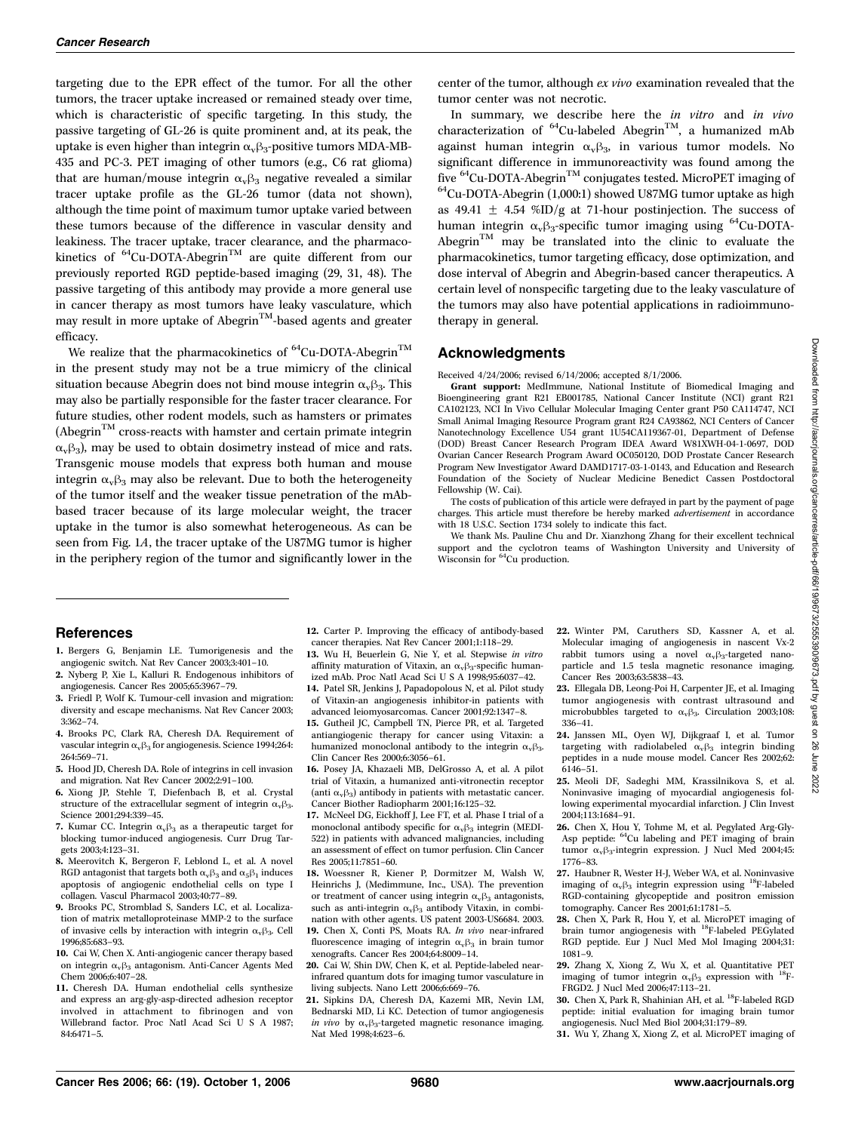targeting due to the EPR effect of the tumor. For all the other tumors, the tracer uptake increased or remained steady over time, which is characteristic of specific targeting. In this study, the passive targeting of GL-26 is quite prominent and, at its peak, the uptake is even higher than integrin  $\alpha_{\rm v} \beta_3$ -positive tumors MDA-MB-435 and PC-3. PET imaging of other tumors(e.g., C6 rat glioma) that are human/mouse integrin  $\alpha_{\rm v} \beta_3$  negative revealed a similar tracer uptake profile as the GL-26 tumor (data not shown), although the time point of maximum tumor uptake varied between these tumors because of the difference in vascular density and leakiness. The tracer uptake, tracer clearance, and the pharmacokinetics of <sup>64</sup>Cu-DOTA-Abegrin<sup>TM</sup> are quite different from our previously reported RGD peptide-based imaging (29, 31, 48). The passive targeting of this antibody may provide a more general use in cancer therapy as most tumors have leaky vasculature, which may result in more uptake of Abegrin<sup>™</sup>-based agents and greater efficacy.

We realize that the pharmacokinetics of  ${}^{64}$ Cu-DOTA-Abegrin<sup>TM</sup> in the present study may not be a true mimicry of the clinical situation because Abegrin does not bind mouse integrin  $\alpha_{\rm v} \beta_3$ . This may also be partially responsible for the faster tracer clearance. For future studies, other rodent models, such as hamsters or primates  $(A \nbegin{bmatrix} \n\text{H} & \n\text{H} \\
\text{H} & \text{H} \\
\text{H} & \text{H} \\
\text{H} & \text{H} \\
\text{H} & \text{H} \\
\text{H} & \text{H} \\
\text{H} & \text{H} \\
\text{H} & \text{H} \\
\text{H} & \text{H} \\
\text{H} & \text{H} \\
\text{H} & \text{H} \\
\text{H} & \text{H} \\
\text{H} & \text{H} \\
\text{H} & \text{H} \\
\text{H} & \text{H$  $\alpha_{\rm v}\beta_3$ ), may be used to obtain dosimetry instead of mice and rats. Transgenic mouse models that express both human and mouse integrin  $\alpha_{\rm v} \beta_3$  may also be relevant. Due to both the heterogeneity of the tumor itself and the weaker tissue penetration of the mAbbased tracer because of its large molecular weight, the tracer uptake in the tumor is also somewhat heterogeneous. As can be seen from Fig. 1A, the tracer uptake of the U87MG tumor is higher in the periphery region of the tumor and significantly lower in the center of the tumor, although ex vivo examination revealed that the tumor center was not necrotic.

In summary, we describe here the in vitro and in vivo characterization of  ${}^{64}$ Cu-labeled Abegrin<sup>TM</sup>, a humanized mAb against human integrin  $\alpha_{\rm v} \beta_3$ , in various tumor models. No significant difference in immunoreactivity was found among the five  $^{64}$ Cu-DOTA-Abegrin<sup>TM</sup> conjugates tested. MicroPET imaging of  $^{64}$ Cu-DOTA-Abegrin (1,000:1) showed U87MG tumor uptake as high as 49.41  $\pm$  4.54 %ID/g at 71-hour postinjection. The success of human integrin  $\alpha_v \beta_3$ -specific tumor imaging using <sup>64</sup>Cu-DOTA-Abegrin<sup>TM</sup> may be translated into the clinic to evaluate the pharmacokinetics, tumor targeting efficacy, dose optimization, and dose interval of Abegrin and Abegrin-based cancer therapeutics. A certain level of nonspecific targeting due to the leaky vasculature of the tumors may also have potential applications in radioimmunotherapy in general.

#### Acknowledgments

Received 4/24/2006; revised 6/14/2006; accepted 8/1/2006.

Grant support: MedImmune, National Institute of Biomedical Imaging and Bioengineering grant R21 EB001785, National Cancer Institute (NCI) grant R21 CA102123, NCI In Vivo Cellular Molecular Imaging Center grant P50 CA114747, NCI Small Animal Imaging Resource Program grant R24 CA93862, NCI Centers of Cancer Nanotechnology Excellence U54 grant 1U54CA119367-01, Department of Defense (DOD) Breast Cancer Research Program IDEA Award W81XWH-04-1-0697, DOD Ovarian Cancer Research Program Award OC050120, DOD Prostate Cancer Research Program New Investigator Award DAMD1717-03-1-0143, and Education and Research Foundation of the Society of Nuclear Medicine Benedict Cassen Postdoctoral Fellowship (W. Cai).

The costs of publication of this article were defrayed in part by the payment of page charges. This article must therefore be hereby marked advertisement in accordance with 18 U.S.C. Section 1734 solely to indicate this fact.

We thank Ms. Pauline Chu and Dr. Xianzhong Zhang for their excellent technical support and the cyclotron teams of Washington University and University of Wisconsin for <sup>64</sup>Cu production.

#### References

- 1. Bergers G. Benjamin LE. Tumorigenesis and the angiogenic switch. Nat Rev Cancer 2003;3:401–10.
- 2. Nyberg P, Xie L, Kalluri R. Endogenous inhibitors of angiogenesis. Cancer Res 2005;65:3967–79.
- 3. Friedl P, Wolf K. Tumour-cell invasion and migration: diversity and escape mechanisms. Nat Rev Cancer 2003; 3:362–74.
- 4. Brooks PC, Clark RA, Cheresh DA. Requirement of vascular integrin $\alpha_{\rm v}\beta_3$  for angiogenesis. Science 1994;264: 264:569–71.
- 5. Hood JD, Cheresh DA. Role of integrins in cell invasion and migration. Nat Rev Cancer 2002;2:91–100.
- 6. Xiong JP, Stehle T, Diefenbach B, et al. Crystal structure of the extracellular segment of integrin  $\alpha_{\rm v}\beta_3$ . Science 2001;294:339–45.
- 7. Kumar CC. Integrin  $\alpha_{\rm v}\beta_3$  as a therapeutic target for blocking tumor-induced angiogenesis. Curr Drug Targets 2003;4:123-31.
- 8. Meerovitch K, Bergeron F, Leblond L, et al. A novel RGD antagonist that targets both  $\alpha_{\rm v}\beta_3$  and  $\alpha_5\beta_1$  induces apoptosis of angiogenic endothelial cells on type I collagen. Vascul Pharmacol 2003;40:77–89.
- 9. Brooks PC, Stromblad S, Sanders LC, et al. Localization of matrix metalloproteinase MMP-2 to the surface of invasive cells by interaction with integrin  $\alpha_{\rm v}\beta_3$ . Cell 1996;85:683–93.
- 10. Cai W, Chen X. Anti-angiogenic cancer therapy based on integrin  $\alpha_{\rm v}\beta_3$  antagonism. Anti-Cancer Agents Med Chem 2006;6:407–28.
- 11. Cheresh DA. Human endothelial cells synthesize and express an arg-gly-asp-directed adhesion receptor involved in attachment to fibrinogen and von Willebrand factor. Proc Natl Acad Sci U S A 1987; 84:6471–5.
- 12. Carter P. Improving the efficacy of antibody-based cancer therapies. Nat Rev Cancer 2001;1:118–29.
- 13. Wu H, Beuerlein G, Nie Y, et al. Stepwise in vitro affinity maturation of Vitaxin, an  $\alpha_{\rm v}\beta_3$  specific humanized mAb. Proc Natl Acad Sci U S A 1998;95:6037–42.
- 14. Patel SR, Jenkins J, Papadopolous N, et al. Pilot study of Vitaxin-an angiogenesis inhibitor-in patients with advanced leiomyosarcomas. Cancer 2001;92:1347–8.
- 15. Gutheil JC, Campbell TN, Pierce PR, et al. Targeted antiangiogenic therapy for cancer using Vitaxin: a humanized monoclonal antibody to the integrin  $\alpha_{v} \beta_{3}$ . Clin Cancer Res 2000:6:3056-61.
- 16. Posey JA, Khazaeli MB, DelGrosso A, et al. A pilot trial of Vitaxin, a humanized anti-vitronectin receptor (anti  $\alpha$ <sub>v</sub> $\beta$ <sub>3</sub>) antibody in patients with metastatic cancer. Cancer Biother Radiopharm 2001;16:125–32.
- 17. McNeel DG, Eickhoff J, Lee FT, et al. Phase I trial of a monoclonal antibody specific for  $\alpha_{\rm v}\beta_3$  integrin (MEDI-522) in patients with advanced malignancies, including an assessment of effect on tumor perfusion. Clin Cancer Res2005;11:7851–60.
- 18. Woessner R, Kiener P, Dormitzer M, Walsh W, HeinrichsJ, (Medimmune, Inc., USA). The prevention or treatment of cancer using integrin  $\alpha_{\nu}\beta_3$  antagonists, such as anti-integrin  $\alpha_{\rm v}\beta_3$  antibody Vitaxin, in combination with other agents. US patent 2003-US6684. 2003. 19. Chen X, Conti PS, Moats RA. In vivo near-infrared
- fluorescence imaging of integrin  $\alpha_v\beta_3$  in brain tumor xenografts. Cancer Res 2004;64:8009–14.
- 20. Cai W, Shin DW, Chen K, et al. Peptide-labeled nearinfrared quantum dots for imaging tumor vasculature in living subjects. Nano Lett 2006;6:669–76.
- 21. Sipkins DA, Cheresh DA, Kazemi MR, Nevin LM, Bednarski MD, Li KC. Detection of tumor angiogenesis in vivo by  $\alpha_v \beta_3$ -targeted magnetic resonance imaging. Nat Med 1998;4:623–6.
- 22. Winter PM, Caruthers SD, Kassner A, et al. Molecular imaging of angiogenesis in nascent Vx-2 rabbit tumors using a novel  $\alpha_v \beta_3$ -targeted nanoparticle and 1.5 tesla magnetic resonance imaging. Cancer Res 2003;63:5838-43.
- 23. Ellegala DB, Leong-Poi H, Carpenter JE, et al. Imaging tumor angiogenesis with contrast ultrasound and microbubbles targeted to  $\alpha_v\beta_3$ . Circulation 2003;108: 336–41.
- 24. Janssen ML, Oyen WJ, Dijkgraaf I, et al. Tumor targeting with radiolabeled  $\alpha_v \beta_3$  integrin binding peptides in a nude mouse model. Cancer Res 2002;62: 6146–51.
- 25. Meoli DF, Sadeghi MM, Krassilnikova S, et al. Noninvasive imaging of myocardial angiogenesis following experimental myocardial infarction. J Clin Invest 2004;113:1684–91.
- 26. Chen X, Hou Y, Tohme M, et al. Pegylated Arg-Gly-Asp peptide: <sup>64</sup>Cu labeling and PET imaging of brain tumor  $\alpha_v\beta_3$ -integrin expression. J Nucl Med 2004;45: 1776–83.
- 27. Haubner R, Wester H-J, Weber WA, et al. Noninvasive imaging of  $\alpha_v\beta_3$  integrin expression using <sup>18</sup>F-labeled RGD-containing glycopeptide and positron emission tomography. Cancer Res 2001;61:1781-5.
- 28. Chen X, Park R, Hou Y, et al. MicroPET imaging of brain tumor angiogenesis with <sup>18</sup>F-labeled PEGylated RGD peptide. Eur J Nucl Med Mol Imaging 2004;31: 1081–9.
- 29. Zhang X, Xiong Z, Wu X, et al. Quantitative PET imaging of tumor integrin  $\alpha_{\rm v} \beta_3$  expression with <sup>18</sup>F-FRGD2. J Nucl Med 2006;47:113–21.
- 30. Chen X, Park R, Shahinian AH, et al. 18F-labeled RGD peptide: initial evaluation for imaging brain tumor angiogenesis. Nucl Med Biol 2004;31:179–89.
- 31. Wu Y, Zhang X, Xiong Z, et al. MicroPET imaging of